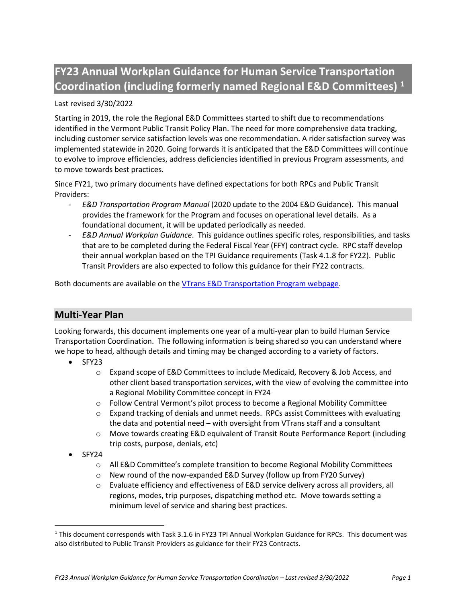# **FY23 Annual Workplan Guidance for Human Service Transportation Coordination (including formerly named Regional E&D Committees) [1](#page-0-0)**

## Last revised 3/30/2022

Starting in 2019, the role the Regional E&D Committees started to shift due to recommendations identified in the Vermont Public Transit Policy Plan. The need for more comprehensive data tracking, including customer service satisfaction levels was one recommendation. A rider satisfaction survey was implemented statewide in 2020. Going forwards it is anticipated that the E&D Committees will continue to evolve to improve efficiencies, address deficiencies identified in previous Program assessments, and to move towards best practices.

Since FY21, two primary documents have defined expectations for both RPCs and Public Transit Providers:

- *E&D Transportation Program Manual* (2020 update to the 2004 E&D Guidance). This manual provides the framework for the Program and focuses on operational level details. As a foundational document, it will be updated periodically as needed.
- *E&D Annual Workplan Guidance*. This guidance outlines specific roles, responsibilities, and tasks that are to be completed during the Federal Fiscal Year (FFY) contract cycle. RPC staff develop their annual workplan based on the TPI Guidance requirements (Task 4.1.8 for FY22). Public Transit Providers are also expected to follow this guidance for their FY22 contracts.

Both documents are available on the [VTrans E&D Transportation Program webpage.](https://vtrans.vermont.gov/public-transit/E-and-D)

# **Multi-Year Plan**

Looking forwards, this document implements one year of a multi-year plan to build Human Service Transportation Coordination. The following information is being shared so you can understand where we hope to head, although details and timing may be changed according to a variety of factors.

- SFY23
	- o Expand scope of E&D Committees to include Medicaid, Recovery & Job Access, and other client based transportation services, with the view of evolving the committee into a Regional Mobility Committee concept in FY24
	- $\circ$  Follow Central Vermont's pilot process to become a Regional Mobility Committee
	- $\circ$  Expand tracking of denials and unmet needs. RPCs assist Committees with evaluating the data and potential need – with oversight from VTrans staff and a consultant
	- o Move towards creating E&D equivalent of Transit Route Performance Report (including trip costs, purpose, denials, etc)
- SFY24
	- o All E&D Committee's complete transition to become Regional Mobility Committees
	- o New round of the now-expanded E&D Survey (follow up from FY20 Survey)
	- o Evaluate efficiency and effectiveness of E&D service delivery across all providers, all regions, modes, trip purposes, dispatching method etc. Move towards setting a minimum level of service and sharing best practices.

<span id="page-0-0"></span><sup>1</sup> This document corresponds with Task 3.1.6 in FY23 TPI Annual Workplan Guidance for RPCs. This document was also distributed to Public Transit Providers as guidance for their FY23 Contracts.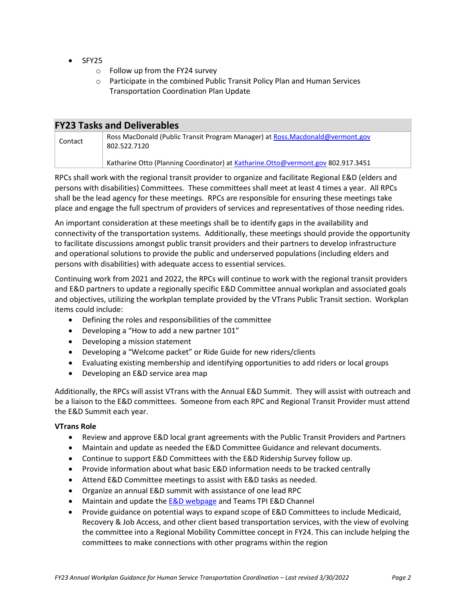- SFY25
	- o Follow up from the FY24 survey
	- o Participate in the combined Public Transit Policy Plan and Human Services Transportation Coordination Plan Update

| <b>FY23 Tasks and Deliverables</b> |                                                                                               |
|------------------------------------|-----------------------------------------------------------------------------------------------|
| Contact                            | Ross MacDonald (Public Transit Program Manager) at Ross.Macdonald@vermont.gov<br>802.522.7120 |
|                                    | Katharine Otto (Planning Coordinator) at Katharine.Otto@vermont.gov 802.917.3451              |

RPCs shall work with the regional transit provider to organize and facilitate Regional E&D (elders and persons with disabilities) Committees. These committees shall meet at least 4 times a year. All RPCs shall be the lead agency for these meetings. RPCs are responsible for ensuring these meetings take place and engage the full spectrum of providers of services and representatives of those needing rides.

An important consideration at these meetings shall be to identify gaps in the availability and connectivity of the transportation systems. Additionally, these meetings should provide the opportunity to facilitate discussions amongst public transit providers and their partners to develop infrastructure and operational solutions to provide the public and underserved populations (including elders and persons with disabilities) with adequate access to essential services.

Continuing work from 2021 and 2022, the RPCs will continue to work with the regional transit providers and E&D partners to update a regionally specific E&D Committee annual workplan and associated goals and objectives, utilizing the workplan template provided by the VTrans Public Transit section. Workplan items could include:

- Defining the roles and responsibilities of the committee
- Developing a "How to add a new partner 101"
- Developing a mission statement
- Developing a "Welcome packet" or Ride Guide for new riders/clients
- Evaluating existing membership and identifying opportunities to add riders or local groups
- Developing an E&D service area map

Additionally, the RPCs will assist VTrans with the Annual E&D Summit. They will assist with outreach and be a liaison to the E&D committees. Someone from each RPC and Regional Transit Provider must attend the E&D Summit each year.

#### **VTrans Role**

- Review and approve E&D local grant agreements with the Public Transit Providers and Partners
- Maintain and update as needed the E&D Committee Guidance and relevant documents.
- Continue to support E&D Committees with the E&D Ridership Survey follow up.
- Provide information about what basic E&D information needs to be tracked centrally
- Attend E&D Committee meetings to assist with E&D tasks as needed.
- Organize an annual E&D summit with assistance of one lead RPC
- Maintain and update th[e E&D webpage](https://vtrans.vermont.gov/public-transit/E-and-D) and Teams TPI E&D Channel
- Provide guidance on potential ways to expand scope of E&D Committees to include Medicaid, Recovery & Job Access, and other client based transportation services, with the view of evolving the committee into a Regional Mobility Committee concept in FY24. This can include helping the committees to make connections with other programs within the region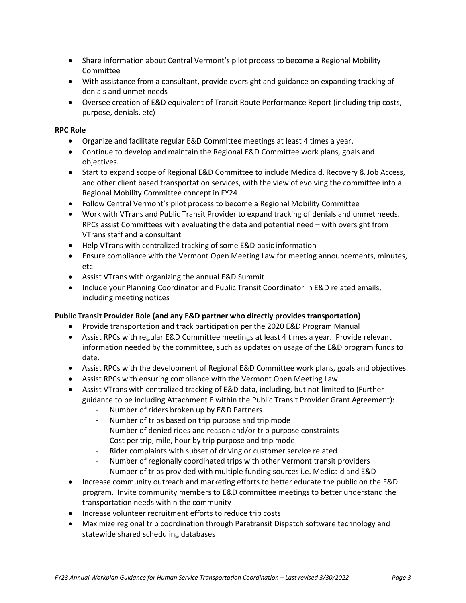- Share information about Central Vermont's pilot process to become a Regional Mobility Committee
- With assistance from a consultant, provide oversight and guidance on expanding tracking of denials and unmet needs
- Oversee creation of E&D equivalent of Transit Route Performance Report (including trip costs, purpose, denials, etc)

## **RPC Role**

- Organize and facilitate regular E&D Committee meetings at least 4 times a year.
- Continue to develop and maintain the Regional E&D Committee work plans, goals and objectives.
- Start to expand scope of Regional E&D Committee to include Medicaid, Recovery & Job Access, and other client based transportation services, with the view of evolving the committee into a Regional Mobility Committee concept in FY24
- Follow Central Vermont's pilot process to become a Regional Mobility Committee
- Work with VTrans and Public Transit Provider to expand tracking of denials and unmet needs. RPCs assist Committees with evaluating the data and potential need – with oversight from VTrans staff and a consultant
- Help VTrans with centralized tracking of some E&D basic information
- Ensure compliance with the Vermont Open Meeting Law for meeting announcements, minutes, etc
- Assist VTrans with organizing the annual E&D Summit
- Include your Planning Coordinator and Public Transit Coordinator in E&D related emails, including meeting notices

#### **Public Transit Provider Role (and any E&D partner who directly provides transportation)**

- Provide transportation and track participation per the 2020 E&D Program Manual
- Assist RPCs with regular E&D Committee meetings at least 4 times a year. Provide relevant information needed by the committee, such as updates on usage of the E&D program funds to date.
- Assist RPCs with the development of Regional E&D Committee work plans, goals and objectives.
- Assist RPCs with ensuring compliance with the Vermont Open Meeting Law.
- Assist VTrans with centralized tracking of E&D data, including, but not limited to (Further guidance to be including Attachment E within the Public Transit Provider Grant Agreement):
	- Number of riders broken up by E&D Partners
	- Number of trips based on trip purpose and trip mode
	- Number of denied rides and reason and/or trip purpose constraints
	- Cost per trip, mile, hour by trip purpose and trip mode
	- Rider complaints with subset of driving or customer service related
	- Number of regionally coordinated trips with other Vermont transit providers
	- Number of trips provided with multiple funding sources i.e. Medicaid and E&D
- Increase community outreach and marketing efforts to better educate the public on the E&D program. Invite community members to E&D committee meetings to better understand the transportation needs within the community
- Increase volunteer recruitment efforts to reduce trip costs
- Maximize regional trip coordination through Paratransit Dispatch software technology and statewide shared scheduling databases